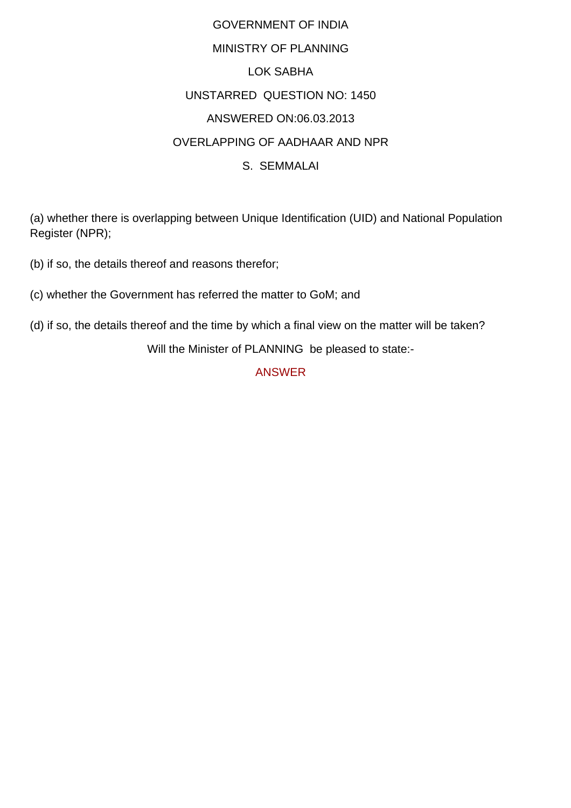## GOVERNMENT OF INDIA MINISTRY OF PLANNING LOK SABHA UNSTARRED QUESTION NO: 1450 ANSWERED ON:06.03.2013 OVERLAPPING OF AADHAAR AND NPR S. SEMMALAI

(a) whether there is overlapping between Unique Identification (UID) and National Population Register (NPR);

(b) if so, the details thereof and reasons therefor;

(c) whether the Government has referred the matter to GoM; and

(d) if so, the details thereof and the time by which a final view on the matter will be taken?

Will the Minister of PLANNING be pleased to state:-

ANSWER